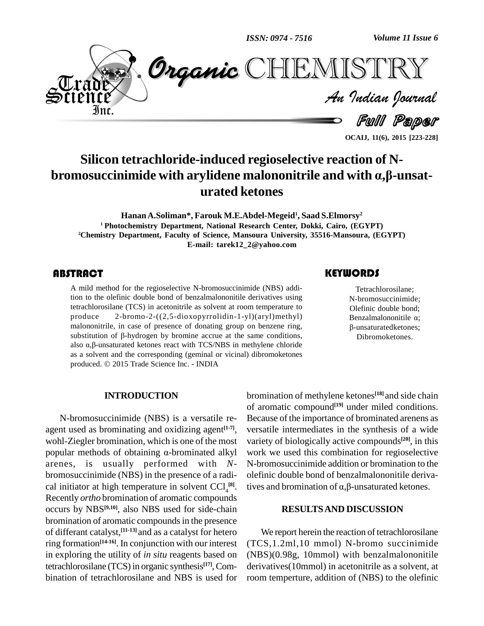*ISSN: 0974 - 7516*

*Volume 11 Issue 6*<br>ISTRY<br>*Indian Journal Volume 11 Issue 6*



**OCAIJ, 11(6), 2015 [223-228]**

Full Paper

# **Silicon tetrachloride-induced regioselective reaction of N bromosuccinimide with arylidene malononitrile and with ·,'-unsat urated ketones**

**HananA.Soliman\*, Farouk M.E.Abdel-Megeid 1 , Saad S.Elmorsy 2 <sup>1</sup> Photochemistry Department, National Research Center, Dokki, Cairo, (EGYPT)** <sup>2</sup>**Chemistry** Department, Faculty of Science, Mansoura University, 35516-Mansoura, (EGYPT) **E-mail: [tarek12\\_2@yahoo.com](mailto:tarek12_2@yahoo.com)**

## **ABSTRACT**

A mild method for the<br>tion to the olefinic dou<br>tetrachlorosilane (TCS) A mild method for the regioselective N-bromosuccinimide (NBS) addition to the olefinic double bond of benzalmalononitile derivatives using tetrachlorosilane (TCS) in acetonitrile as solvent at room temperature to produce 2-bromo-2-((2,5-dioxopyrrolidin-1-yl)(aryl)methyl) malononitrile, in case of presence of donating group on benzene ring, produce 2-bromo-2- $((2,5\t{-}dioxopyrrolidin-1-yl)(aryl)methyl)$  malononitrile, in case of presence of donating group on benzene ring, substitution of  $\beta$ -hydrogen by bromine accrue at the same conditions, malononitrile, in case of presence of donating group on benzene ring, substitution of  $\beta$ -hydrogen by bromine accrue at the same conditions, also  $\alpha$ , $\beta$ -unsaturated ketones react with TCS/NBS in methylene chloride as a solvent and the corresponding (geminal or vicinal) dibromoketones also  $\alpha$ , $\beta$ -unsaturated ketones react with TCS/NBS in methy<br>as a solvent and the corresponding (geminal or vicinal) dit<br>produced.  $\odot$  2015 Trade Science Inc. - INDIA

# **KEYWORDS**

Tetrachlorosilane;<br>
N-bromosuccinimide;<br>
Olefinic double bond; Tetrachlorosilane; N-bromosuccinimide; Benzalmalononitile  $\alpha$ ; -unsaturatedketones; Dibromoketones.

## **INTRODUCTION**

N-bromosuccinimide (NBS) is a versatile re agent used as brominating and oxidizing agent<sup>[1-7]</sup>, ve wohl-Ziegler bromination, which is one of the most popular methods of obtaining  $\alpha$ -brominated alkyl arenes, is usually performed with *N* bromosuccinimide (NBS) in the presence of a radi cal initiator at high temperature in solvent  $CCl_4^{[8]}$ . tiv Recently *ortho* bromination of aromatic compounds occurs by NBS **[9,10]**, also NBS used for side-chain bromination of aromatic compounds in the presence of differant catalyst, **[11-13]** and as a catalyst for hetero ring formation **[14-16]**. In conjunction with our interest in exploring the utility of *in situ* reagents based on tetrachlorosilane (TCS) in organic synthesis<sup>[17]</sup>, Com- deri bination of tetrachlorosilane and NBS is used for

bromination of methylene ketones **[18]** and side chain of aromatic compound **[19]** under miled conditions. Because of the importance of brominated arenens as versatile intermediates in the synthesis of a wide variety of biologically active compounds **[20]**, in this work we used this combination for regioselective N-bromosuccinimide addition or bromination to the olefinic double bond of benzalmalononitile derivatives and bromination of  $\alpha$ , $\beta$ -unsaturated ketones.

## **RESULTSAND DISCUSSION**

We report herein the reaction of tetrachlorosilane (TCS,1.2ml,10 mmol) N-bromo succinimide (NBS)(0.98g, 10mmol) with benzalmalononitile derivatives(10mmol) in acetonitrile as a solvent, at room temperture, addition of (NBS) to the olefinic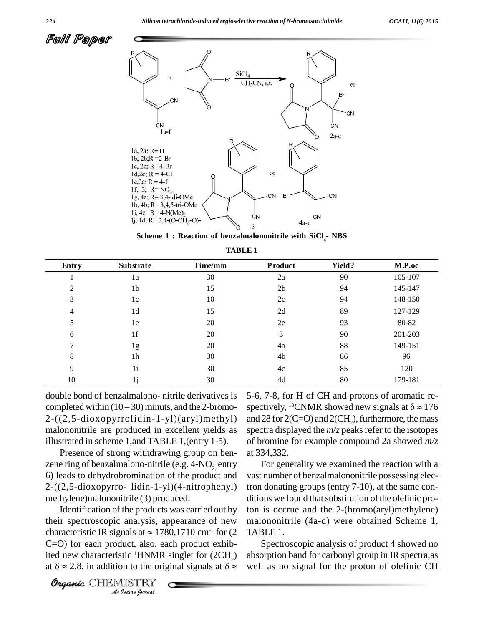Fulli Paper



**Scheme 1 : Reaction of benzalmalononitrile with SiCl4- NBS**

| TABLE 1 |  |
|---------|--|
|---------|--|

| Entry          | <b>Substrate</b> | Time/min | Product        | <b>Yield?</b> | M.P.oc  |
|----------------|------------------|----------|----------------|---------------|---------|
|                | 1a               | 30       | 2a             | 90            | 105-107 |
| $\overline{2}$ | 1 <sub>b</sub>   | 15       | 2 <sub>b</sub> | 94            | 145-147 |
| 3              | 1c               | 10       | 2c             | 94            | 148-150 |
| 4              | 1 <sub>d</sub>   | 15       | 2d             | 89            | 127-129 |
| 5              | 1e               | 20       | 2e             | 93            | 80-82   |
| 6              | 1 <sub>f</sub>   | 20       | 3              | 90            | 201-203 |
| 7              | 1g               | 20       | 4a             | 88            | 149-151 |
| 8              | 1 <sub>h</sub>   | 30       | 4b             | 86            | 96      |
| 9              | 1i               | 30       | 4c             | 85            | 120     |
| 10             |                  | 30       | 4d             | 80            | 179-181 |

double bond of benzalmalono- nitrile derivatives is completed within  $(10 - 30)$  minuts, and the 2-bromo-2-((2,5-dioxopyrrolidin-1-yl)(aryl)methyl) malononitrile are produced in excellent yields as illustrated in scheme 1,and TABLE 1,(entry 1-5).

Presence of strong withdrawing group on ben zene ring of benzalmalono-nitrile (e.g.  $4$ -NO<sub>2</sub>, entry 6) leads to dehydrobromination of the product and 2-((2,5-dioxopyrro- lidin-1-yl)(4-nitrophenyl) methylene)malononitrile (3) produced.

*Andeler spectroscopic analysis, appearance of new malononity and*  $\Gamma$ *Indian* at  $\approx$  178<br>*India*, also, ea<br>*IISTRY*<br>*IISTRY*<br>*Indian hournal* Identification of the products was carried out by Identification of the products was carried out by ton is<br>their spectroscopic analysis, appearance of new malon<br>characteristic IR signals at  $\approx 1780,1710$  cm<sup>-1</sup> for (2 TABLI C=O) for each product, also, each product exhibited new characteristic <sup>1</sup>HNMR singlet for  $(2CH<sub>2</sub>)$  abs C=O) for each product, also, each product exhib-<br>ited new characteristic <sup>1</sup>HNMR singlet for (2CH<sub>2</sub>) absorpt<br>at  $\delta \approx 2.8$ , in addition to the original signals at  $\delta \approx$  well as

5-6, 7-8, for H of CH and protons of aromatic re spectively, <sup>13</sup>CNMR showed new signals at  $\delta \approx 176$ and 28 for  $2(C=O)$  and  $2(CH_2)$ , furthermore, the mass spectra displayed the  $m/z$  peaks refer to the isotopes of bromine for example compound 2a showed *m/z* at 334,332.

For generality we examined the reaction with a vast number of benzalmalononitrile possessing electron donating groups (entry 7-10), at the same con ditions we found that substitution of the olefinic proton is occrue and the 2-(bromo(aryl)methylene) malononitrile (4a-d) were obtained Scheme 1, TABLE 1.

Spectroscopic analysis of product 4 showed no absorption band for carbonyl group in IR spectra,as well as no signal for the proton of olefinic CH

Organic CHEMISTRY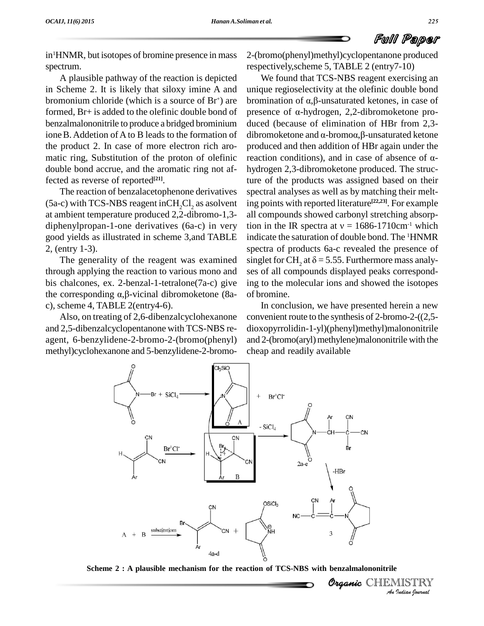

in <sup>1</sup>HNMR, but isotopes of bromine presence in mass spectrum.

A plausible pathway of the reaction is depicted in Scheme 2. It is likely that siloxy imine A and bromonium chloride (which is a source of Br formed, Br+ is added to the olefinic double bond of benzalmalononitrile to produce a bridged brominium ione B. Addetion of A to B leads to the formation of the product 2. In case of more electron rich aro matic ring, Substitution of the proton of olefinic reaction conditions), and in case of absence of  $\alpha$ double bond accrue, and the aromatic ring not affected as reverse of reported **[21]**.

The reaction of benzalacetophenone derivatives  $(5a-c)$  with TCS-NBS reagent inCH<sub>2</sub>Cl<sub>2</sub> as asolvent at ambient temperature produced 2,2-dibromo-1,3 diphenylpropan-1-one derivatives (6a-c) in very tion in the IR spectra at  $v = 1686-1710$ cm<sup>-1</sup> which good yields as illustrated in scheme 3,and TABLE 2, (entry 1-3).

through applying the reaction to various mono and bis chalcones, ex. 2-benzal-1-tetralone(7a-c) give ing to through applying the reaction to various mono and ses<br>bis chalcones, ex. 2-benzal-1-tetralone(7a-c) give ing<br>the corresponding  $\alpha$ , $\beta$ -vicinal dibromoketone (8a-of b c), scheme 4, TABLE 2(entry4-6).

Also, on treating of 2,6-dibenzalcyclohexanone and 2,5-dibenzalcyclopentanone with TCS-NBS re agent, 6-benzylidene-2-bromo-2-(bromo(phenyl) methyl)cyclohexanone and 5-benzylidene-2-bromo2-(bromo(phenyl)methyl)cyclopentanone produced respectively,scheme 5, TABLE 2 (entry7-10)

bicted We found that TCS-NBS reagent exercising an A and unique regioselectivity at the olefinic double bond  $+$ ) are bromination of α,β-unsaturated ketones, in case of The generality of the reagent was examined singlet for CH, at  $\delta = 5.55$ . Furthermore mass analy-We found that TCS-NBS reagent exercising an unique regioselectivity at the olefinic double bond unique regioselectivity at the olefinic double bond<br>bromination of  $\alpha$ , $\beta$ -unsaturated ketones, in case of<br>presence of  $\alpha$ -hydrogen, 2,2-dibromoketone produced (because of elimination of HBr from 2,3 presence of  $\alpha$ -hydrogen, 2,2-dibromoketone proproduced and then addition of HBr again under the dibromoketone and  $\alpha$ -bromo $\alpha$ ,  $\beta$ -unsaturated ketone hydrogen 2,3-dibromoketone produced. The structure of the products was assigned based on their spectral analyses as well as by matching their melting points with reported literature<sup>[22,23]</sup>. For example all compounds showed carbonyl stretching absorption in the IR spectra at  $v = 1686-1710 \text{cm}^{-1}$  which all compounds showed carbonyl stretching absorpindicate the saturation of double bond. The <sup>1</sup>HNMR spectra of products 6a-c revealed the presence of ses of all compounds displayed peaks corresponding to the molecular ions and showed the isotopes of bromine.

> In conclusion, we have presented herein a new convenient route to the synthesis of 2-bromo-2-((2,5 dioxopyrrolidin-1-yl)(phenyl)methyl)malononitrile and  $2$ -(bromo(aryl) methylene)malononitrile with the cheap and readily available

> > *Organi*c CHEMISTRY



 *Indian Journal* **Scheme 2 : A plausible mechanism for the reaction of TCS-NBS with benzalmalononitrile**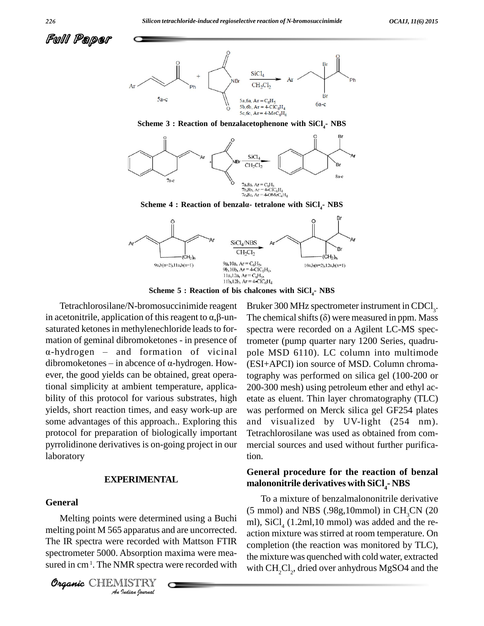



**Scheme 3 : Reaction of benzalacetophenone with SiCl4- NBS**





**Scheme 5 : Reaction of bis chalcones with SiCl4- NBS**

Tetrachlorosilane/N-bromosuccinimide reagent in acetonitrile, application of this reagent to  $\alpha$ ,  $\beta$ -unsaturated ketones in methylenechloride leads to for- spe mation of geminal dibromoketones - in presence of Anaturated ketones in methylenechloride leads to for-<br>
and formation of geminal dibromoketones - in presence of<br>  $\frac{1}{2}$  to  $\frac{1}{2}$  to  $\frac{1}{2}$  or  $\frac{1}{2}$  or  $\frac{1}{2}$  or  $\frac{1}{2}$  or  $\frac{1}{2}$  or  $\frac{1}{2}$  or  $\frac{1$ mation of geminal dibromoketones - in presence of  $\alpha$ -hydrogen – and formation of vicinal pol<br>dibromoketones – in abcence of  $\alpha$ -hydrogen. How- (ES ever, the good yields can be obtained, great operational simplicity at ambient temperature, applica bility of this protocol for various substrates, high yields, short reaction times, and easy work-up are some advantages of this approach.. Exploring this protocol for preparation of biologically important pyrrolidinone derivatives is on-going project in our laboratory

## **EXPERIMENTAL**

#### **General**

melting point M 565 apparatus and are uncorrected.<br>
The IR spectra were recorded with Mattson FTIR<br>
spectrometer 5000. Absorption maxima were mea-<br>
sured in cm<sup>1</sup>. The NMR spectra were recorded with<br> **Organic** CHIEMISTRY The IR spectra were recorded with Mattson FTIR spectrometer 5000. Absorption maxima were mea sured in cm<sup>1</sup>. The NMR spectra were recorded with with  $\alpha$ 

Organic CHEMISTRY

Bruker 300 MHz spectrometer instrument in CDCl<sub>3</sub>. The chemical shifts  $(\delta)$  were measured in ppm. Mass spectra were recorded on a Agilent LC-MS spectrometer (pump quarter nary 1200 Series, quadru pole MSD 6110). LC column into multimode (ESI+APCI) ion source of MSD. Column chromatography was performed on silica gel (100-200 or 200-300 mesh) using petroleum ether and ethyl ac etate as eluent. Thin layer chromatography (TLC) was performed on Merck silica gel GF254 plates and visualized by UV-light (254 nm). Tetrachlorosilane was used as obtained from com mercial sources and used without further purification.

# **General procedure for the reaction of benzal malononitrile derivatives with SiCl4- NBS**

Melting points were determined using a Buchi  $\frac{m}{m}$ , SiCl<sub>4</sub> (1.2ml, 10 mmol) was added and the re-To a mixture of benzalmalononitrile derivative  $(5 \text{ mmol})$  and NBS  $(.98g,10\text{ mmol})$  in CH<sub>2</sub>CN  $(20 \text{ mmol})$ action mixture was stirred at room temperature. On completion (the reaction was monitored by TLC), the mixture was quenched with cold water, extracted with  $\text{CH}_{2}\text{Cl}_{2}$ , dried over anhydrous MgSO4 and the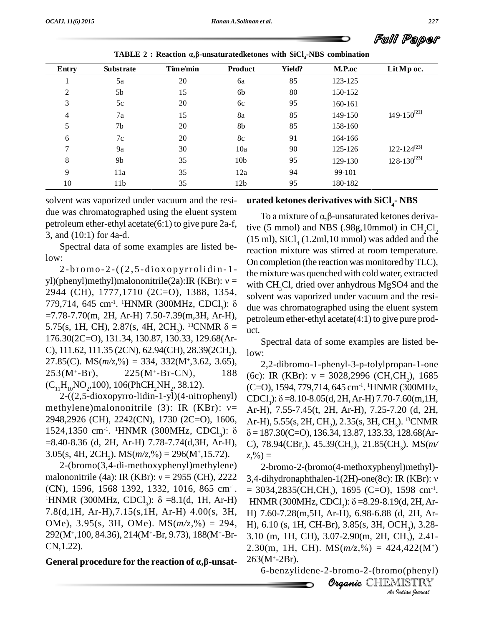|       |                                                                                                    |          |                 |        |         | Full Paper         |  |  |  |
|-------|----------------------------------------------------------------------------------------------------|----------|-----------------|--------|---------|--------------------|--|--|--|
|       | TABLE 2 : Reaction $\alpha$ , $\beta$ -unsaturated ketones with SiCl <sub>4</sub> -NBS combination |          |                 |        |         |                    |  |  |  |
| Entry | <b>Substrate</b>                                                                                   | Time/min | Product         | Yield? | M.P.oc  | Lit Mp oc.         |  |  |  |
|       | 5a                                                                                                 | 20       | 6a              | 85     | 123-125 |                    |  |  |  |
| 2     | 5b                                                                                                 | 15       | 6b              | 80     | 150-152 |                    |  |  |  |
| 3     | 5c                                                                                                 | 20       | 6c              | 95     | 160-161 |                    |  |  |  |
| 4     | 7a                                                                                                 | 15       | 8a              | 85     | 149-150 | $149-150^{[22]}$   |  |  |  |
| 5     | 7b                                                                                                 | 20       | 8b              | 85     | 158-160 |                    |  |  |  |
| 6     | 7c                                                                                                 | 20       | 8c              | 91     | 164-166 |                    |  |  |  |
| 7     | 9a                                                                                                 | 30       | 10a             | 90     | 125-126 | $122 - 124^{[23]}$ |  |  |  |
| 8     | 9 <sub>b</sub>                                                                                     | 35       | 10 <sub>b</sub> | 95     | 129-130 | $128 - 130^{[23]}$ |  |  |  |
| 9     | 11a                                                                                                | 35       | 12a             | 94     | 99-101  |                    |  |  |  |
| 10    | 11 <sub>b</sub>                                                                                    | 35       | 12 <sub>b</sub> | 95     | 180-182 |                    |  |  |  |

**TABLE** 2 : Reaction  $\alpha$ , $\beta$ -unsaturatedketones with  $\text{SiCl}_4$ -NBS combination

solvent was vaporized under vacuum and the resi due was chromatographed using the eluent system petroleum ether-ethyl acetate(6:1) to give pure 2a-f, 3, and (10:1) for 4a-d.

Spectral data of some examples are listed below:

 $2-bromo-2-((2, 5-diagonal)$ yl)(phenyl)methyl)malononitrile(2a):IR (KBr):  $v =$ 2944 (CH), 1777,1710 (2C=O), 1388, 1354, so 779,714, 645 cm<sup>-1</sup>. <sup>1</sup>HNMR (300MHz, CDCl<sub>3</sub>):  $\delta$  due was<br>=7.78-7.70(m, 2H, Ar-H) 7.50-7.39(m,3H, Ar-H), petroleu<br>5.75(s, 1H, CH), 2.87(s, 4H, 2CH<sub>2</sub>). <sup>13</sup>CNMR  $\delta =$  uct. yl)(phenyl)methyl)malononitrile(2a):IR (KBr):  $v =$  with C<br>2944 (CH), 1777,1710 (2C=O), 1388, 1354, solver<br>779,714, 645 cm<sup>-1</sup>. <sup>1</sup>HNMR (300MHz, CDCl<sub>3</sub>):  $\delta$  due w<br>=7.78-7.70(m, 2H, Ar-H) 7.50-7.39(m,3H, Ar-H), petrole 176.30(2C=O), 131.34, 130.87, 130.33, 129.68(Ar-<br>C), 111.62, 111.35 (2CN), 62.94(CH), 28.39(2CH<sub>2</sub>), low<br>27.85(C). MS(*m/z*,%) = 334, 332(M<sup>+</sup>,3.62, 3.65), 27.85(C). MS $(m/z, \% ) = 334, 332(M^+, 3.62, 3.65),$  $253(M^{\text{+}}-Br)$ ,  $225(M^{\text{+}}-Br\text{-CN})$ ,  $188$  $(C_{11}H_{10}NO_2, 100)$ , 106(PhCH<sub>2</sub>NH<sub>2</sub>, 38.12).

 $(C_{11}H_{10}NO_2, 100)$ , 106(PhCH<sub>2</sub>NH<sub>2</sub>, 38.12). (C=O),<br>
2-((2,5-dioxopyrro-lidin-1-yl)(4-nitrophenyl) CDCl<sub>3</sub>):<br>
methylene)malononitrile (3): IR (KBr):  $v=Ar-H$ ). 2948,2926 (CH), 2242(CN), 1730 (2C=O), 1606, 1524,1350 cm<sup>-1</sup>. <sup>1</sup>HNMR (300MHz, CDCl<sub>3</sub>):  $\delta$ methylene)malononitrile (3): IR (KBr):  $v =$  Ar-H)<br>2948,2926 (CH), 2242(CN), 1730 (2C=O), 1606, Ar-H)<br>1524,1350 cm<sup>-1</sup>. <sup>1</sup>HNMR (300MHz, CDCl<sub>3</sub>):  $\delta$   $\delta = 18$ <br>=8.40-8.36 (d, 2H, Ar-H) 7.78-7.74(d,3H, Ar-H), C), 78 1524,1350 cm<sup>-1</sup>. <sup>1</sup>HNMR (300MHz, CDCl<sub>3</sub>):  $\delta$   $\delta = 187$ <br>=8.40-8.36 (d, 2H, Ar-H) 7.78-7.74(d,3H, Ar-H), C), 78<br>3.05(s, 4H, 2CH<sub>2</sub>). MS( $m/z$ ,%) = 296(M<sup>+</sup>,15.72).  $z$ ,%) =<br>2-(bromo(3,4-di-methoxyphenyl)methylene) 2-b<br>m

2-(bromo(3,4-di-methoxyphenyl)methylene) (CN), 1596, 1568 1392, 1332, 1016, 865 cm<sup>-1</sup>. malononitrile (4a): IR (KBr):  $v = 2955$  (CH), 2222 3,4-dihydronaphthalen-1(2H)-one(8c): IR (KBr):  $v$  (CN), 1596, 1568 1392, 1332, 1016, 865 cm<sup>-1</sup>. = 3034,2835(CH,CH<sub>2</sub>), 1695 (C=O), 1598 cm<sup>-1</sup>.<br><sup>1</sup>HNMR (300MHz, CDCl<sub>3</sub> 7.8(d,1H, Ar-H),7.15(s,1H, Ar-H) 4.00(s, 3H, <sup>1</sup>HNMR (300MHz, CDCl<sub>3</sub>):  $\delta$  =8.1(d, 1H, Ar-H)<br>7.8(d, 1H, Ar-H), 7.15(s, 1H, Ar-H) 4.00(s, 3H, OMe), 3.95(s, 3H, OMe). MS( $m/z$ , %) = 294, 292(M<sup>+</sup> ,100, 84.36), 214(M<sup>+</sup>-Br, 9.73), 188(M<sup>+</sup>-Br- CN,1.22).

**General procedure for the reaction of ·,'-unsat-**

## **urated ketones derivatives with SiCl4- NBS**

To a mixture of  $\alpha$ ,  $\beta$ -unsaturated ketones derivative (5 mmol) and NBS (.98g,10mmol) in CH<sub>2</sub>Cl<sub>2</sub>  $(15 \text{ ml})$ , SiCl<sub>4</sub>  $(1.2 \text{ ml},10 \text{ mmol})$  was added and the reaction mixture was stirred at room temperature. On completion (the reaction was monitored byTLC), the mixture was quenched with cold water, extracted with CH<sub>2</sub>Cl, dried over anhydrous MgSO4 and the solvent was vaporized under vacuum and the resi due was chromatographed using the eluent system petroleum ether-ethyl acetate $(4:1)$  to give pure prod-

uct.<br>Spectral data of some examples are listed below:

2-((2,5-dioxopyrro-lidin-1-yl)(4-nitrophenyl) CDCl<sub>2</sub>):  $\delta$ =8.10-8.05(d, 2H, Ar-H) 7.70-7.60(m, 1H, 2,2-dibromo-1-phenyl-3-p-tolylpropan-1-one low:<br>2,2-dibromo-1-phenyl-3-p-tolylpropan-1-one<br>(6c): IR (KBr):  $v = 3028,2996$  (CH,CH<sub>2</sub>), 1685 (C=O), 1594, 779,714, 645 cm-1 . <sup>1</sup>HNMR(300MHz, (6c): IR (KBr):  $v = 3028,2996$  (CH,CH<sub>2</sub>), 1685<br>(C=O), 1594, 779,714, 645 cm<sup>-1</sup>. <sup>1</sup>HNMR (300MHz,<br>CDCl<sub>3</sub>):  $\delta$  =8.10-8.05(d, 2H, Ar-H) 7.70-7.60(m, 1H,<br>Ar-H), 7.55-7.45(t, 2H, Ar-H), 7.25-7.20 (d, 2H, Ar-H), 5.55(s, 2H, CH<sub>2</sub>), 2.35(s, 3H, CH<sub>2</sub>). <sup>13</sup>CNMR Ar-H), 7.55-7.45(t, 2H, Ar-H), 7.25-7.20 (d, 2H,  $\delta$  = 187.30(C=O), 136.34, 13.87, 133.33, 128.68(Ar-<br>C), 78.94(CBr<sub>2</sub>), 45.39(CH<sub>2</sub>), 21.85(CH<sub>3</sub>). MS(*m*/<br>z,%) = C), 78.94(CBr<sub>2</sub>), 45.39(CH<sub>2</sub>), 21.85(CH<sub>3</sub>). MS(*m*/

**Br**), 3.85(s, 3H, O *Indian Indian Indian Indian Journal Indian Indian Indian Indian Indian Indian Indian Indian Indian Indian Indian bouwal Alternation Letter <i>Alternation Indian bouwal Alternation <i>Alte*  $= 3034,2835 \text{(CH,CH}_2), 1695 \text{ (C=O)}, 1598 \text{ cm}^{-1}.$ 2-bromo-2-(bromo(4-methoxyphenyl)methyl)-  $(z, %) =$ <br>2-bromo-2-(bromo(4-methoxyphenyl)methyl)-<br>3,4-dihydronaphthalen-1(2H)-one(8c): IR (KBr): v 3,4-dihydronaphthalen-1(2H)-one(8c): IR (KBr): ν<br>= 3034,2835(CH,CH<sub>2</sub>), 1695 (C=O), 1598 cm<sup>-1</sup>.<br><sup>1</sup>HNMR (300MHz, CDCl<sub>3</sub>): δ =8.29-8.19(d, 2H, Ar-<br>H) 7.60-7.28(m,5H, Ar-H), 6.98-6.88 (d, 2H, Ar- $263(M^+ - 2Br)$ .

6-benzylidene-2-bromo-2-(bromo(phenyl)

Organic CHEMISTRY